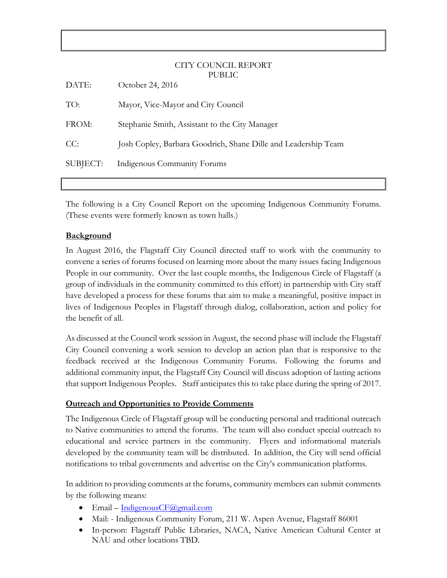#### CITY COUNCIL REPORT PUBLIC

| DATE:    | October 24, 2016                                               |
|----------|----------------------------------------------------------------|
| TO:      | Mayor, Vice-Mayor and City Council                             |
| FROM:    | Stephanie Smith, Assistant to the City Manager                 |
| CC:      | Josh Copley, Barbara Goodrich, Shane Dille and Leadership Team |
| SUBJECT: | Indigenous Community Forums                                    |
|          |                                                                |

The following is a City Council Report on the upcoming Indigenous Community Forums. (These events were formerly known as town halls.)

### **Background**

In August 2016, the Flagstaff City Council directed staff to work with the community to convene a series of forums focused on learning more about the many issues facing Indigenous People in our community. Over the last couple months, the Indigenous Circle of Flagstaff (a group of individuals in the community committed to this effort) in partnership with City staff have developed a process for these forums that aim to make a meaningful, positive impact in lives of Indigenous Peoples in Flagstaff through dialog, collaboration, action and policy for the benefit of all.

As discussed at the Council work session in August, the second phase will include the Flagstaff City Council convening a work session to develop an action plan that is responsive to the feedback received at the Indigenous Community Forums. Following the forums and additional community input, the Flagstaff City Council will discuss adoption of lasting actions that support Indigenous Peoples. Staff anticipates this to take place during the spring of 2017.

#### **Outreach and Opportunities to Provide Comments**

The Indigenous Circle of Flagstaff group will be conducting personal and traditional outreach to Native communities to attend the forums. The team will also conduct special outreach to educational and service partners in the community. Flyers and informational materials developed by the community team will be distributed. In addition, the City will send official notifications to tribal governments and advertise on the City's communication platforms.

In addition to providing comments at the forums, community members can submit comments by the following means:

- $\bullet$  Email [IndigenousCF@gmail.com](mailto:IndigenousCF@gmail.com)
- Mail: Indigenous Community Forum, 211 W. Aspen Avenue, Flagstaff 86001
- In-person: Flagstaff Public Libraries, NACA, Native American Cultural Center at NAU and other locations TBD.